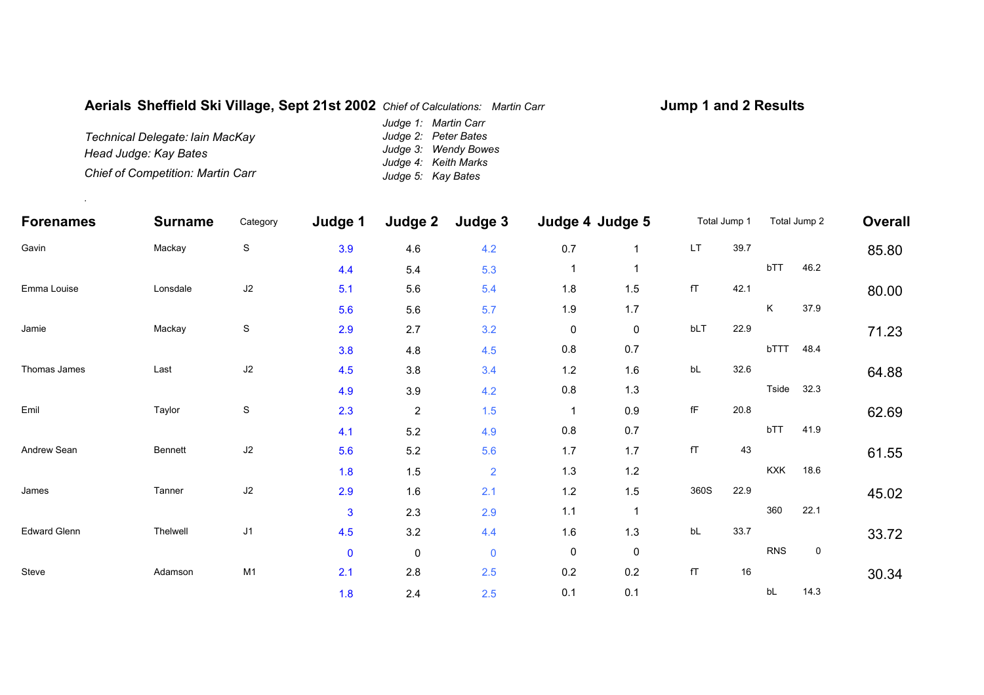## **Aerials Sheffield Ski Village, Sept 21st 2002** *Chief of Calculations: Martin Carr*

## **Jump 1 and 2 Results**

*Technical Delegate: Iain MacKay Head Judge: Kay Bates Chief of Competition: Martin Carr Judge 1: Martin Carr Judge 2: Peter Bates Judge 3: Wendy Bowes Judge 4: Keith Marks Judge 5: Kay Bates*

.

| <b>Forenames</b><br>Gavin | <b>Surname</b><br>Mackay | Category<br>${\mathsf S}$ | Judge 1<br>3.9 | Judge 2<br>4.6 | Judge 3<br>4.2 | Judge 4 Judge 5 |              | Total Jump 1           |      | Total Jump 2 |            | <b>Overall</b> |
|---------------------------|--------------------------|---------------------------|----------------|----------------|----------------|-----------------|--------------|------------------------|------|--------------|------------|----------------|
|                           |                          |                           |                |                |                | 0.7             | $\mathbf{1}$ | <b>LT</b>              | 39.7 |              |            | 85.80          |
|                           |                          |                           | 4.4            | 5.4            | 5.3            | $\mathbf{1}$    |              |                        |      | bTT          | 46.2       |                |
| Emma Louise               | Lonsdale                 | J2                        | 5.1            | 5.6            | 5.4            | 1.8             | 1.5          | fT                     | 42.1 |              |            | 80.00          |
|                           |                          |                           | 5.6            | 5.6            | 5.7            | 1.9             | 1.7          |                        |      | K.           | 37.9       |                |
| Jamie                     | Mackay                   | $\mathbf S$               | 2.9            | 2.7            | 3.2            | $\pmb{0}$       | 0            | bLT                    | 22.9 |              |            | 71.23          |
|                           |                          |                           | 3.8            | 4.8            | 4.5            | $0.8\,$         | 0.7          |                        |      | bTTT         | 48.4       |                |
| Thomas James              | Last                     | J2                        | 4.5            | 3.8            | 3.4            | 1.2             | 1.6          | bL                     | 32.6 |              |            | 64.88          |
|                           |                          |                           | 4.9            | 3.9            | 4.2            | $0.8\,$         | 1.3          |                        |      |              | Tside 32.3 |                |
| Emil                      | Taylor                   | $\mathbf S$               | 2.3            | $\sqrt{2}$     | 1.5            | $\overline{1}$  | 0.9          | $\mathsf{f}\mathsf{F}$ | 20.8 |              |            | 62.69          |
|                           |                          |                           | 4.1            | $5.2\,$        | 4.9            | 0.8             | 0.7          |                        |      | bTT          | 41.9       |                |
| Andrew Sean               | <b>Bennett</b>           | J2                        | 5.6            | $5.2\,$        | 5.6            | 1.7             | 1.7          | fT                     | 43   |              |            | 61.55          |
|                           |                          |                           | 1.8            | 1.5            | $\overline{2}$ | 1.3             | 1.2          |                        |      | <b>KXK</b>   | 18.6       |                |
| James                     | Tanner                   | J2                        | 2.9            | 1.6            | 2.1            | 1.2             | 1.5          | 360S                   | 22.9 |              |            | 45.02          |
|                           |                          |                           | 3              | 2.3            | 2.9            | $1.1$           | $\mathbf{1}$ |                        |      | 360          | 22.1       |                |
| <b>Edward Glenn</b>       | Thelwell                 | J1                        | 4.5            | 3.2            | 4.4            | 1.6             | 1.3          | bL                     | 33.7 |              |            | 33.72          |
|                           |                          |                           | $\mathbf 0$    | $\mathbf 0$    | $\mathbf 0$    | 0               | 0            |                        |      | <b>RNS</b>   | 0          |                |
| Steve                     | Adamson                  | M1                        | 2.1            | 2.8            | 2.5            | 0.2             | 0.2          | fT                     | 16   |              |            | 30.34          |
|                           |                          |                           | 1.8            | 2.4            | 2.5            | 0.1             | 0.1          |                        |      | bL           | 14.3       |                |